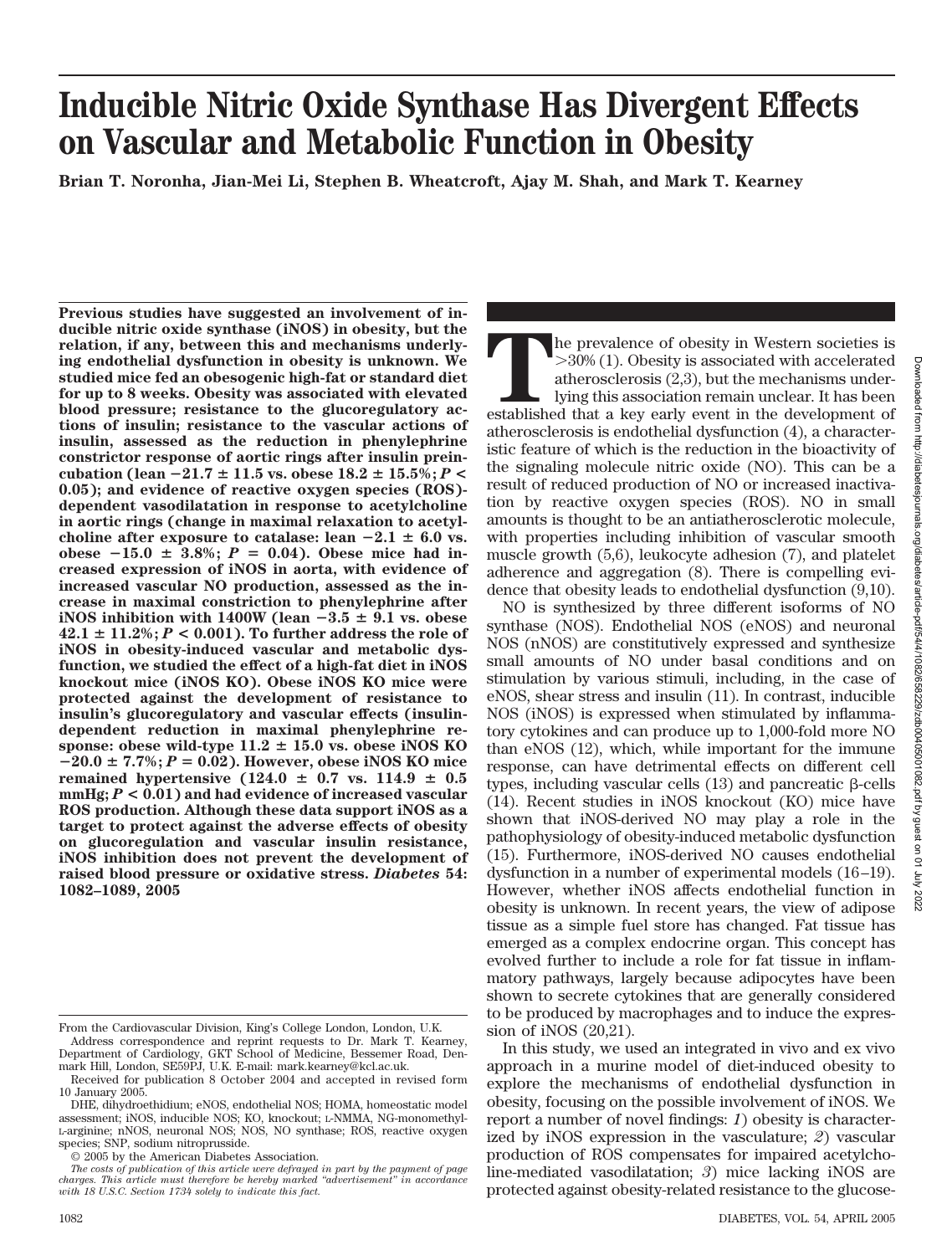# **Inducible Nitric Oxide Synthase Has Divergent Effects on Vascular and Metabolic Function in Obesity**

**Brian T. Noronha, Jian-Mei Li, Stephen B. Wheatcroft, Ajay M. Shah, and Mark T. Kearney**

**Previous studies have suggested an involvement of inducible nitric oxide synthase (iNOS) in obesity, but the relation, if any, between this and mechanisms underlying endothelial dysfunction in obesity is unknown. We studied mice fed an obesogenic high-fat or standard diet for up to 8 weeks. Obesity was associated with elevated blood pressure; resistance to the glucoregulatory actions of insulin; resistance to the vascular actions of insulin, assessed as the reduction in phenylephrine constrictor response of aortic rings after insulin prein-** $\text{cubation (lean } -21.7 \pm 11.5 \text{ vs. obese } 18.2 \pm 15.5\%; P <$ **0.05); and evidence of reactive oxygen species (ROS) dependent vasodilatation in response to acetylcholine in aortic rings (change in maximal relaxation to acetyl**choline after exposure to catalase: lean  $-2.1 \pm 6.0$  vs. obese  $-15.0 \pm 3.8\%$ ;  $P = 0.04$ ). Obese mice had in**creased expression of iNOS in aorta, with evidence of increased vascular NO production, assessed as the increase in maximal constriction to phenylephrine after**  $i$ NOS inhibition with  $1400W$  (lean  $-3.5 \pm 9.1$  vs. obese  $42.1 \pm 11.2\%; P < 0.001$ ). To further address the role of **iNOS in obesity-induced vascular and metabolic dysfunction, we studied the effect of a high-fat diet in iNOS knockout mice (iNOS KO). Obese iNOS KO mice were protected against the development of resistance to insulin's glucoregulatory and vascular effects (insulindependent reduction in maximal phenylephrine re**sponse: obese wild-type  $11.2 \pm 15.0$  vs. obese iNOS KO  $-20.0 \pm 7.7\%; P = 0.02$ . However, obese iNOS KO mice remained hypertensive  $(124.0 \pm 0.7 \text{ vs. } 114.9 \pm 0.5)$ **mmHg;** *P* **< 0.01) and had evidence of increased vascular ROS production. Although these data support iNOS as a target to protect against the adverse effects of obesity on glucoregulation and vascular insulin resistance, iNOS inhibition does not prevent the development of raised blood pressure or oxidative stress.** *Diabetes* **54: 1082–1089, 2005**

**The prevalence of obesity in Western societies is**  $>30\%$  (1). Obesity is associated with accelerated atherosclerosis (2,3), but the mechanisms underlying this association remain unclear. It has been established that a k 30% (1). Obesity is associated with accelerated atherosclerosis (2,3), but the mechanisms underlying this association remain unclear. It has been established that a key early event in the development of atherosclerosis is endothelial dysfunction (4), a characteristic feature of which is the reduction in the bioactivity of the signaling molecule nitric oxide (NO). This can be a result of reduced production of NO or increased inactivation by reactive oxygen species (ROS). NO in small amounts is thought to be an antiatherosclerotic molecule, with properties including inhibition of vascular smooth muscle growth (5,6), leukocyte adhesion (7), and platelet adherence and aggregation (8). There is compelling evidence that obesity leads to endothelial dysfunction (9,10).

NO is synthesized by three different isoforms of NO synthase (NOS). Endothelial NOS (eNOS) and neuronal NOS (nNOS) are constitutively expressed and synthesize small amounts of NO under basal conditions and on stimulation by various stimuli, including, in the case of eNOS, shear stress and insulin (11). In contrast, inducible NOS (iNOS) is expressed when stimulated by inflammatory cytokines and can produce up to 1,000-fold more NO than eNOS (12), which, while important for the immune response, can have detrimental effects on different cell types, including vascular cells  $(13)$  and pancreatic  $\beta$ -cells (14). Recent studies in iNOS knockout (KO) mice have shown that iNOS-derived NO may play a role in the pathophysiology of obesity-induced metabolic dysfunction (15). Furthermore, iNOS-derived NO causes endothelial dysfunction in a number of experimental models (16 –19). However, whether iNOS affects endothelial function in obesity is unknown. In recent years, the view of adipose tissue as a simple fuel store has changed. Fat tissue has emerged as a complex endocrine organ. This concept has evolved further to include a role for fat tissue in inflammatory pathways, largely because adipocytes have been shown to secrete cytokines that are generally considered to be produced by macrophages and to induce the expression of iNOS (20,21).

In this study, we used an integrated in vivo and ex vivo approach in a murine model of diet-induced obesity to explore the mechanisms of endothelial dysfunction in obesity, focusing on the possible involvement of iNOS. We report a number of novel findings: *1*) obesity is characterized by iNOS expression in the vasculature; *2*) vascular production of ROS compensates for impaired acetylcholine-mediated vasodilatation; *3*) mice lacking iNOS are protected against obesity-related resistance to the glucose-

From the Cardiovascular Division, King's College London, London, U.K. Address correspondence and reprint requests to Dr. Mark T. Kearney, Department of Cardiology, GKT School of Medicine, Bessemer Road, Den-

mark Hill, London, SE59PJ, U.K. E-mail: mark.kearney@kcl.ac.uk. Received for publication 8 October 2004 and accepted in revised form

<sup>10</sup> January 2005. DHE, dihydroethidium; eNOS, endothelial NOS; HOMA, homeostatic model

assessment; iNOS, inducible NOS; KO, knockout; L-NMMA, NG-monomethyl-L-arginine; nNOS, neuronal NOS; NOS, NO synthase; ROS, reactive oxygen species; SNP, sodium nitroprusside.

<sup>© 2005</sup> by the American Diabetes Association.

*The costs of publication of this article were defrayed in part by the payment of page charges. This article must therefore be hereby marked "advertisement" in accordance with 18 U.S.C. Section 1734 solely to indicate this fact.*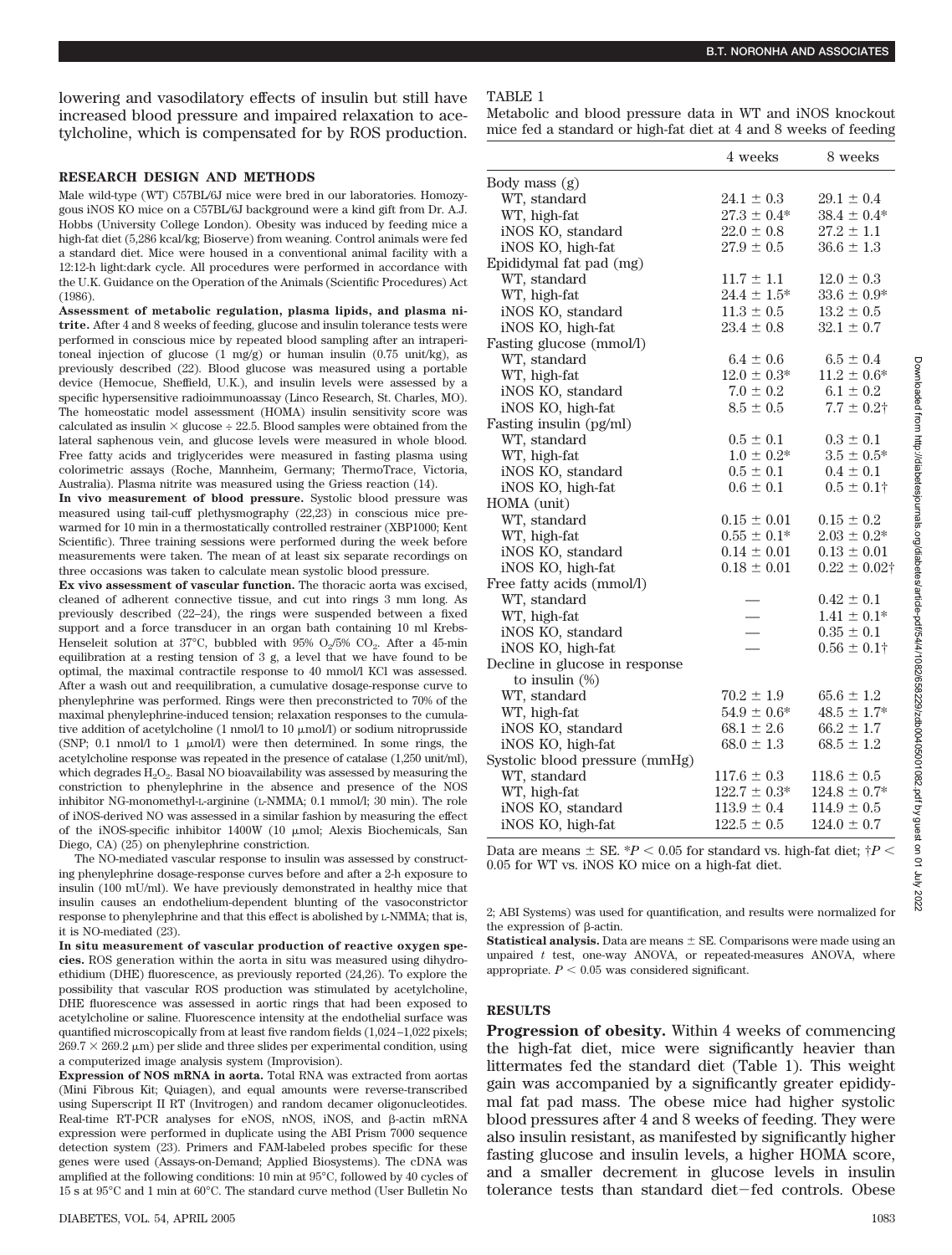lowering and vasodilatory effects of insulin but still have increased blood pressure and impaired relaxation to acetylcholine, which is compensated for by ROS production.

#### **RESEARCH DESIGN AND METHODS**

Male wild-type (WT) C57BL/6J mice were bred in our laboratories. Homozygous iNOS KO mice on a C57BL/6J background were a kind gift from Dr. A.J. Hobbs (University College London). Obesity was induced by feeding mice a high-fat diet (5,286 kcal/kg; Bioserve) from weaning. Control animals were fed a standard diet. Mice were housed in a conventional animal facility with a 12:12-h light:dark cycle. All procedures were performed in accordance with the U.K. Guidance on the Operation of the Animals (Scientific Procedures) Act (1986).

**Assessment of metabolic regulation, plasma lipids, and plasma nitrite.** After 4 and 8 weeks of feeding, glucose and insulin tolerance tests were performed in conscious mice by repeated blood sampling after an intraperitoneal injection of glucose (1 mg/g) or human insulin (0.75 unit/kg), as previously described (22). Blood glucose was measured using a portable device (Hemocue, Sheffield, U.K.), and insulin levels were assessed by a specific hypersensitive radioimmunoassay (Linco Research, St. Charles, MO). The homeostatic model assessment (HOMA) insulin sensitivity score was calculated as insulin  $\times$  glucose  $\div$  22.5. Blood samples were obtained from the lateral saphenous vein, and glucose levels were measured in whole blood. Free fatty acids and triglycerides were measured in fasting plasma using colorimetric assays (Roche, Mannheim, Germany; ThermoTrace, Victoria, Australia). Plasma nitrite was measured using the Griess reaction (14).

**In vivo measurement of blood pressure.** Systolic blood pressure was measured using tail-cuff plethysmography (22,23) in conscious mice prewarmed for 10 min in a thermostatically controlled restrainer (XBP1000; Kent Scientific). Three training sessions were performed during the week before measurements were taken. The mean of at least six separate recordings on three occasions was taken to calculate mean systolic blood pressure.

**Ex vivo assessment of vascular function.** The thoracic aorta was excised, cleaned of adherent connective tissue, and cut into rings 3 mm long. As previously described (22–24), the rings were suspended between a fixed support and a force transducer in an organ bath containing 10 ml Krebs-Henseleit solution at 37°C, bubbled with 95% O<sub>2</sub>/5% CO<sub>2</sub>. After a 45-min equilibration at a resting tension of 3 g, a level that we have found to be optimal, the maximal contractile response to 40 mmol/l KCl was assessed. After a wash out and reequilibration, a cumulative dosage-response curve to phenylephrine was performed. Rings were then preconstricted to 70% of the maximal phenylephrine-induced tension; relaxation responses to the cumulative addition of acetylcholine (1 nmol/l to 10  $\mu$ mol/l) or sodium nitroprusside (SNP; 0.1 nmol/l to 1  $\mu$ mol/l) were then determined. In some rings, the acetylcholine response was repeated in the presence of catalase (1,250 unit/ml), which degrades  $H_2O_2$ . Basal NO bioavailability was assessed by measuring the constriction to phenylephrine in the absence and presence of the NOS inhibitor NG-monomethyl-L-arginine (L-NMMA; 0.1 mmol/l; 30 min). The role of iNOS-derived NO was assessed in a similar fashion by measuring the effect of the iNOS-specific inhibitor 1400W (10 mol; Alexis Biochemicals, San Diego, CA) (25) on phenylephrine constriction.

The NO-mediated vascular response to insulin was assessed by constructing phenylephrine dosage-response curves before and after a 2-h exposure to insulin (100 mU/ml). We have previously demonstrated in healthy mice that insulin causes an endothelium-dependent blunting of the vasoconstrictor response to phenylephrine and that this effect is abolished by L-NMMA; that is, it is NO-mediated (23).

**In situ measurement of vascular production of reactive oxygen species.** ROS generation within the aorta in situ was measured using dihydroethidium (DHE) fluorescence, as previously reported (24,26). To explore the possibility that vascular ROS production was stimulated by acetylcholine, DHE fluorescence was assessed in aortic rings that had been exposed to acetylcholine or saline. Fluorescence intensity at the endothelial surface was quantified microscopically from at least five random fields (1,024 –1,022 pixels;  $269.7 \times 269.2$  µm) per slide and three slides per experimental condition, using a computerized image analysis system (Improvision).

**Expression of NOS mRNA in aorta.** Total RNA was extracted from aortas (Mini Fibrous Kit; Quiagen), and equal amounts were reverse-transcribed using Superscript II RT (Invitrogen) and random decamer oligonucleotides. Real-time RT-PCR analyses for eNOS, nNOS, iNOS, and β-actin mRNA expression were performed in duplicate using the ABI Prism 7000 sequence detection system (23). Primers and FAM-labeled probes specific for these genes were used (Assays-on-Demand; Applied Biosystems). The cDNA was amplified at the following conditions: 10 min at 95°C, followed by 40 cycles of 15 s at 95°C and 1 min at 60°C. The standard curve method (User Bulletin No Metabolic and blood pressure data in WT and iNOS knockout mice fed a standard or high-fat diet at 4 and 8 weeks of feeding

|                                | 4 weeks                  | 8 weeks           |
|--------------------------------|--------------------------|-------------------|
| Body mass (g)                  |                          |                   |
| WT, standard                   | $24.1 \pm 0.3$           | $29.1 \pm 0.4$    |
| WT, high-fat                   | $27.3 \pm 0.4*$          | $38.4 \pm 0.4*$   |
| iNOS KO, standard              | $22.0 \pm 0.8$           | $27.2 \pm 1.1$    |
| iNOS KO, high-fat              | $27.9 \pm 0.5$           | $36.6 \pm 1.3$    |
| Epididymal fat pad (mg)        |                          |                   |
| WT, standard                   | $11.7 \pm 1.1$           | $12.0 \pm 0.3$    |
| WT, high-fat                   | $24.4 \pm 1.5^*$         | $33.6 \pm 0.9^*$  |
| iNOS KO, standard              | $11.3 \pm 0.5$           | $13.2 \pm 0.5$    |
| iNOS KO, high-fat              | $23.4 \pm 0.8$           | $32.1 \pm 0.7$    |
| Fasting glucose (mmol/l)       |                          |                   |
| WT, standard                   | $6.4 \pm 0.6$            | $6.5 \pm 0.4$     |
| WT, high-fat                   | $12.0 \pm 0.3^*$         | $11.2 \pm 0.6^*$  |
| iNOS KO, standard              | $7.0 \pm 0.2$            | $6.1 \pm 0.2$     |
| iNOS KO, high-fat              | $8.5 \pm 0.5$            | $7.7 \pm 0.2$ †   |
| Fasting insulin (pg/ml)        |                          |                   |
| WT, standard                   | $0.5 \pm 0.1$            | $0.3 \pm 0.1$     |
| WT, high-fat                   | $1.0 \pm 0.2^*$          | $3.5 \pm 0.5^*$   |
| iNOS KO, standard              | $0.5 \pm 0.1$            | $0.4 \pm 0.1$     |
| iNOS KO, high-fat              | $0.6 \pm 0.1$            | $0.5 \pm 0.1$ †   |
| HOMA (unit)                    |                          |                   |
| WT, standard                   | $0.15 \pm 0.01$          | $0.15 \pm 0.2$    |
| WT, high-fat                   | $0.55 \pm 0.1^*$         | $2.03 \pm 0.2^*$  |
| iNOS KO, standard              | $0.14 \pm 0.01$          | $0.13 \pm 0.01$   |
| iNOS KO, high-fat              | $0.18 \pm 0.01$          | $0.22 \pm 0.02$ † |
| Free fatty acids (mmol/l)      |                          |                   |
| WT, standard                   |                          | $0.42 \pm 0.1$    |
| WT, high-fat                   | $\frac{1}{2}$            | $1.41 \pm 0.1*$   |
| iNOS KO, standard              | $\overline{\phantom{0}}$ | $0.35 \pm 0.1$    |
| iNOS KO, high-fat              |                          | $0.56 \pm 0.1$ †  |
| Decline in glucose in response |                          |                   |
| to insulin $(\%)$              |                          |                   |
| WT, standard                   | $70.2 \pm 1.9$           | $65.6 \pm 1.2$    |
| WT, high-fat                   | $54.9$ $\pm$ $0.6^*$     | $48.5 \pm 1.7^*$  |
| iNOS KO, standard              | $68.1 \pm 2.6$           | $66.2 \pm 1.7$    |
| iNOS KO, high-fat              | $68.0 \pm 1.3$           | $68.5 \pm 1.2$    |
| Systolic blood pressure (mmHg) |                          |                   |
| WT, standard                   | $117.6 \pm 0.3$          | $118.6 \pm 0.5$   |
| WT, high-fat                   | $122.7 \pm 0.3*$         | $124.8 \pm 0.7^*$ |
| iNOS KO, standard              | $113.9 \pm 0.4$          | $114.9 \pm 0.5$   |
| iNOS KO, high-fat              | $122.5 \pm 0.5$          | $124.0 \pm 0.7$   |

Data are means  $\pm$  SE.  $*P < 0.05$  for standard vs. high-fat diet;  $\dagger P <$ 0.05 for WT vs. iNOS KO mice on a high-fat diet.

2; ABI Systems) was used for quantification, and results were normalized for the expression of  $\beta$ -actin.

**Statistical analysis.** Data are means  $\pm$  SE. Comparisons were made using an unpaired *t* test, one-way ANOVA, or repeated-measures ANOVA, where appropriate.  $P < 0.05$  was considered significant.

### **RESULTS**

**Progression of obesity.** Within 4 weeks of commencing the high-fat diet, mice were significantly heavier than littermates fed the standard diet (Table 1). This weight gain was accompanied by a significantly greater epididymal fat pad mass. The obese mice had higher systolic blood pressures after 4 and 8 weeks of feeding. They were also insulin resistant, as manifested by significantly higher fasting glucose and insulin levels, a higher HOMA score, and a smaller decrement in glucose levels in insulin tolerance tests than standard diet-fed controls. Obese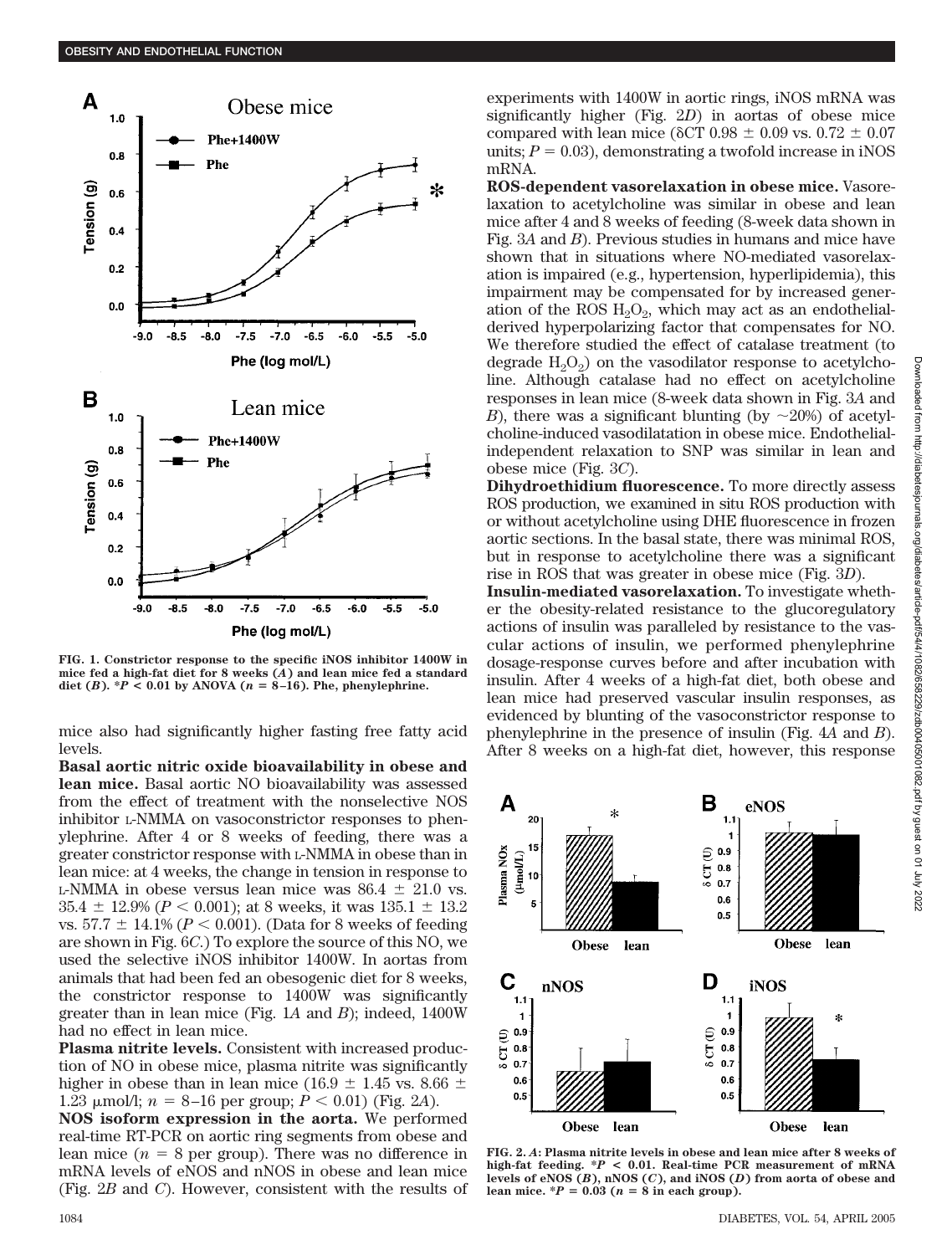

**FIG. 1. Constrictor response to the specific iNOS inhibitor 1400W in mice fed a high-fat diet for 8 weeks (***A***) and lean mice fed a standard** diet (*B*). \**P*  $\leq$  0.01 by ANOVA (*n* = 8–16). Phe, phenylephrine.

mice also had significantly higher fasting free fatty acid levels.

**Basal aortic nitric oxide bioavailability in obese and lean mice.** Basal aortic NO bioavailability was assessed from the effect of treatment with the nonselective NOS inhibitor L-NMMA on vasoconstrictor responses to phenylephrine. After 4 or 8 weeks of feeding, there was a greater constrictor response with L-NMMA in obese than in lean mice: at 4 weeks, the change in tension in response to L-NMMA in obese versus lean mice was  $86.4 \pm 21.0$  vs.  $35.4 \pm 12.9\%$  ( $P < 0.001$ ); at 8 weeks, it was  $135.1 \pm 13.2$ vs.  $57.7 \pm 14.1\%$  ( $P < 0.001$ ). (Data for 8 weeks of feeding are shown in Fig. 6*C*.) To explore the source of this NO, we used the selective iNOS inhibitor 1400W. In aortas from animals that had been fed an obesogenic diet for 8 weeks, the constrictor response to 1400W was significantly greater than in lean mice (Fig. 1*A* and *B*); indeed, 1400W had no effect in lean mice.

**Plasma nitrite levels.** Consistent with increased production of NO in obese mice, plasma nitrite was significantly higher in obese than in lean mice (16.9  $\pm$  1.45 vs. 8.66  $\pm$ 1.23  $\mu$ mol/l;  $n = 8$ –16 per group;  $P < 0.01$ ) (Fig. 2*A*).

**NOS isoform expression in the aorta.** We performed real-time RT-PCR on aortic ring segments from obese and lean mice  $(n = 8$  per group). There was no difference in mRNA levels of eNOS and nNOS in obese and lean mice (Fig. 2*B* and *C*). However, consistent with the results of experiments with 1400W in aortic rings, iNOS mRNA was significantly higher (Fig. 2*D*) in aortas of obese mice compared with lean mice ( $\delta$ CT 0.98  $\pm$  0.09 vs. 0.72  $\pm$  0.07 units;  $P = 0.03$ ), demonstrating a twofold increase in iNOS mRNA.

**ROS-dependent vasorelaxation in obese mice.** Vasorelaxation to acetylcholine was similar in obese and lean mice after 4 and 8 weeks of feeding (8-week data shown in Fig. 3*A* and *B*). Previous studies in humans and mice have shown that in situations where NO-mediated vasorelaxation is impaired (e.g., hypertension, hyperlipidemia), this impairment may be compensated for by increased generation of the ROS  $H_2O_2$ , which may act as an endothelialderived hyperpolarizing factor that compensates for NO. We therefore studied the effect of catalase treatment (to degrade  $H_2O_2$ ) on the vasodilator response to acetylcholine. Although catalase had no effect on acetylcholine responses in lean mice (8-week data shown in Fig. 3*A* and *B*), there was a significant blunting (by  $\sim$ 20%) of acetylcholine-induced vasodilatation in obese mice. Endothelialindependent relaxation to SNP was similar in lean and obese mice (Fig. 3*C*).

**Dihydroethidium fluorescence.** To more directly assess ROS production, we examined in situ ROS production with or without acetylcholine using DHE fluorescence in frozen aortic sections. In the basal state, there was minimal ROS, but in response to acetylcholine there was a significant rise in ROS that was greater in obese mice (Fig. 3*D*).

**Insulin-mediated vasorelaxation.** To investigate whether the obesity-related resistance to the glucoregulatory actions of insulin was paralleled by resistance to the vascular actions of insulin, we performed phenylephrine dosage-response curves before and after incubation with insulin. After 4 weeks of a high-fat diet, both obese and lean mice had preserved vascular insulin responses, as evidenced by blunting of the vasoconstrictor response to phenylephrine in the presence of insulin (Fig. 4*A* and *B*). After 8 weeks on a high-fat diet, however, this response



**FIG. 2.** *A***: Plasma nitrite levels in obese and lean mice after 8 weeks of high-fat feeding. \****P* **< 0.01. Real-time PCR measurement of mRNA levels of eNOS (***B***), nNOS (***C***), and iNOS (***D***) from aorta of obese and lean mice.**  $*P = 0.03$  ( $n = 8$  in each group).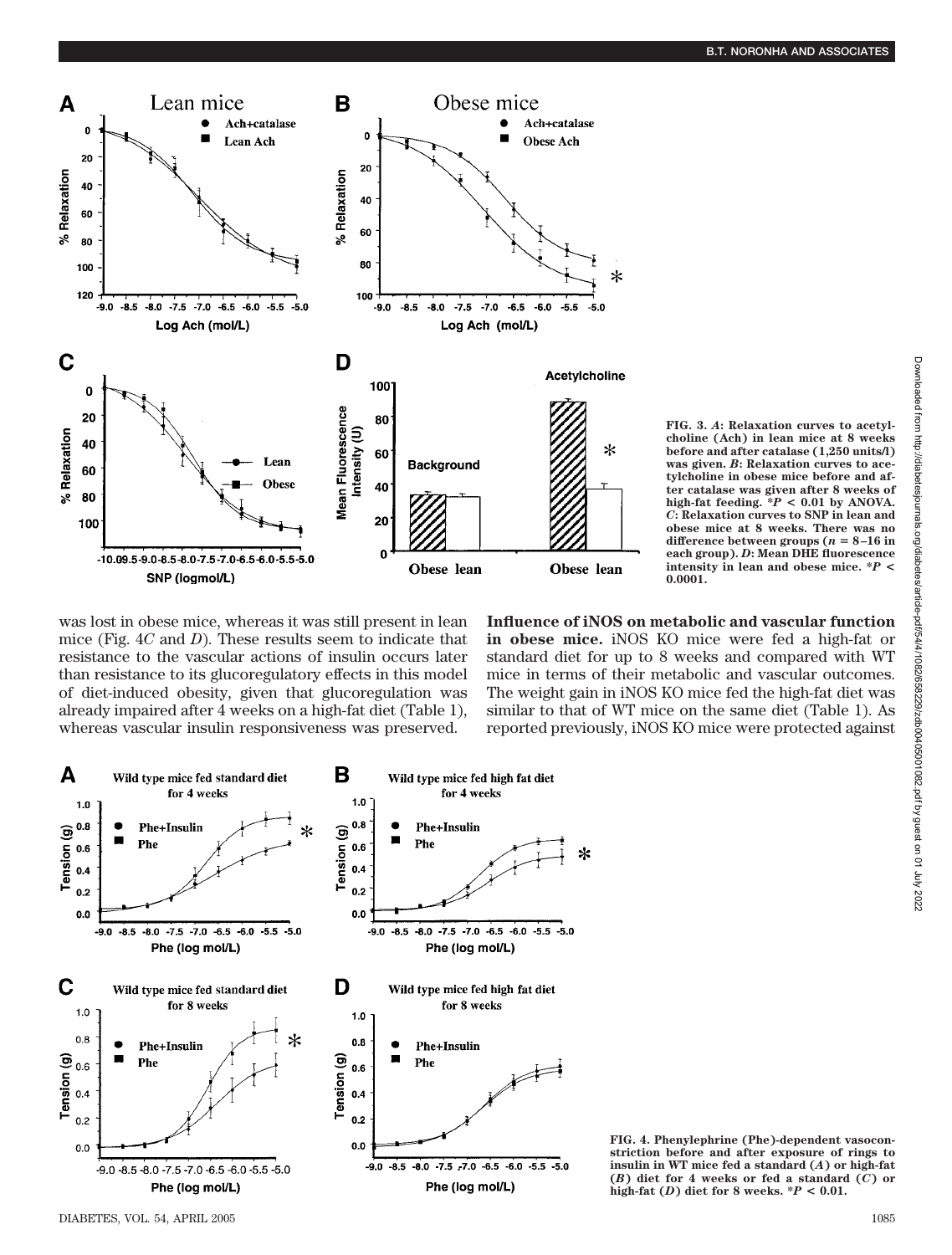

**FIG. 3.** *A***: Relaxation curves to acetylcholine (Ach) in lean mice at 8 weeks before and after catalase (1,250 units/l) was given.** *B***: Relaxation curves to acetylcholine in obese mice before and after catalase was given after 8 weeks of high-fat feeding. \****P* **< 0.01 by ANOVA.** *C***: Relaxation curves to SNP in lean and obese mice at 8 weeks. There was no** difference between groups  $(n = 8-16$  in **each group).** *D***: Mean DHE fluorescence intensity in lean and obese mice. \****P* **< 0.0001.**

was lost in obese mice, whereas it was still present in lean mice (Fig. 4*C* and *D*). These results seem to indicate that resistance to the vascular actions of insulin occurs later than resistance to its glucoregulatory effects in this model of diet-induced obesity, given that glucoregulation was already impaired after 4 weeks on a high-fat diet (Table 1), whereas vascular insulin responsiveness was preserved.

**Influence of iNOS on metabolic and vascular function in obese mice.** iNOS KO mice were fed a high-fat or standard diet for up to 8 weeks and compared with WT mice in terms of their metabolic and vascular outcomes. The weight gain in iNOS KO mice fed the high-fat diet was similar to that of WT mice on the same diet (Table 1). As reported previously, iNOS KO mice were protected against



**FIG. 4. Phenylephrine (Phe)-dependent vasoconstriction before and after exposure of rings to insulin in WT mice fed a standard (***A***) or high-fat (***B***) diet for 4 weeks or fed a standard (***C***) or high-fat (***D***) diet for 8 weeks. \****P* **< 0.01.**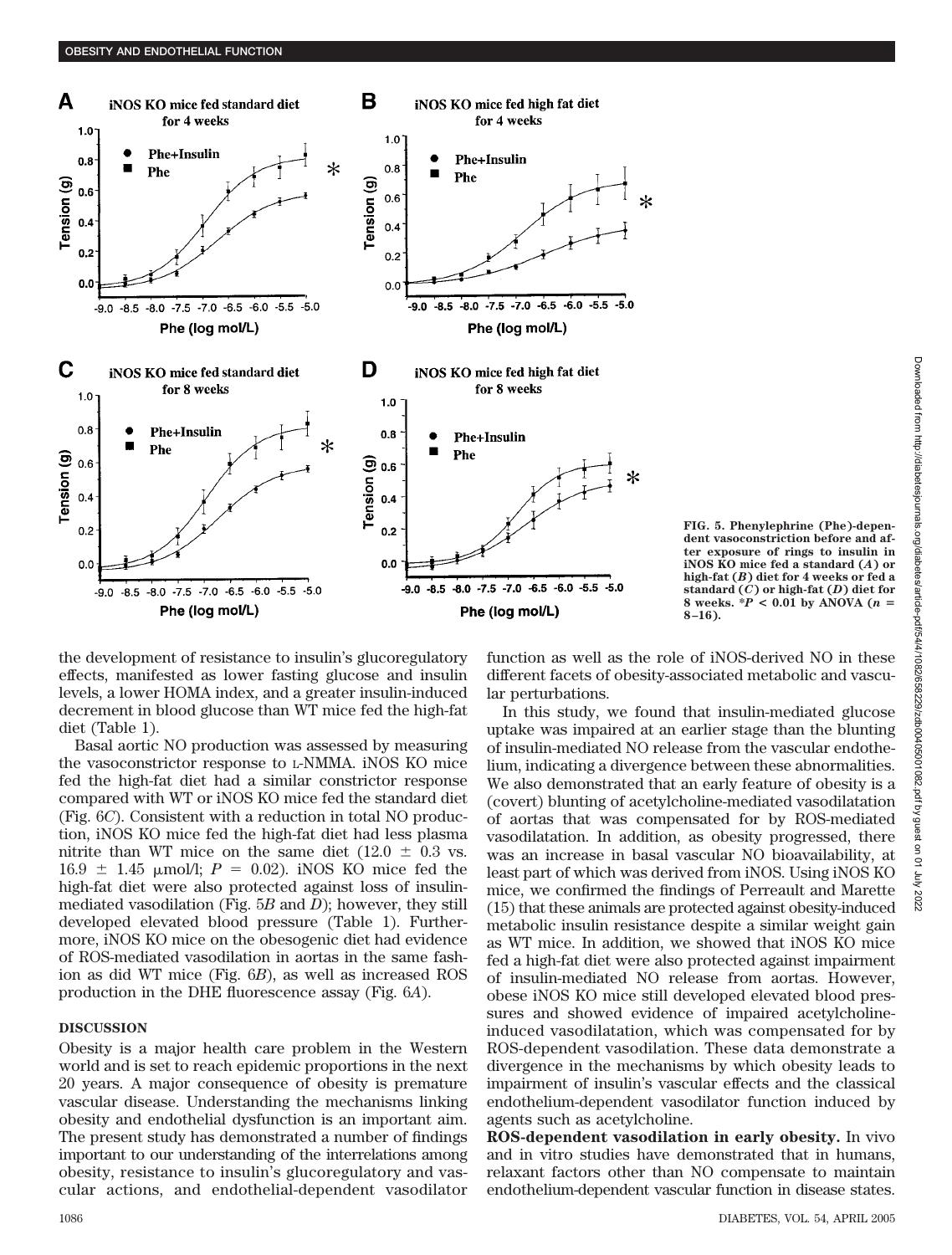

**FIG. 5. Phenylephrine (Phe)-dependent vasoconstriction before and after exposure of rings to insulin in iNOS KO mice fed a standard (***A***) or high-fat (***B***) diet for 4 weeks or fed a standard (***C***) or high-fat (***D***) diet for 8** weeks.  ${}^*P$  < 0.01 by ANOVA (*n* = **8–16).**

the development of resistance to insulin's glucoregulatory effects, manifested as lower fasting glucose and insulin levels, a lower HOMA index, and a greater insulin-induced decrement in blood glucose than WT mice fed the high-fat diet (Table 1).

Basal aortic NO production was assessed by measuring the vasoconstrictor response to L-NMMA. iNOS KO mice fed the high-fat diet had a similar constrictor response compared with WT or iNOS KO mice fed the standard diet (Fig. 6*C*). Consistent with a reduction in total NO production, iNOS KO mice fed the high-fat diet had less plasma nitrite than WT mice on the same diet (12.0  $\pm$  0.3 vs. 16.9  $\pm$  1.45  $\mu$ mol/l; *P* = 0.02). iNOS KO mice fed the high-fat diet were also protected against loss of insulinmediated vasodilation (Fig. 5*B* and *D*); however, they still developed elevated blood pressure (Table 1). Furthermore, iNOS KO mice on the obesogenic diet had evidence of ROS-mediated vasodilation in aortas in the same fashion as did WT mice (Fig. 6*B*), as well as increased ROS production in the DHE fluorescence assay (Fig. 6*A*).

## **DISCUSSION**

Obesity is a major health care problem in the Western world and is set to reach epidemic proportions in the next 20 years. A major consequence of obesity is premature vascular disease. Understanding the mechanisms linking obesity and endothelial dysfunction is an important aim. The present study has demonstrated a number of findings important to our understanding of the interrelations among obesity, resistance to insulin's glucoregulatory and vascular actions, and endothelial-dependent vasodilator

function as well as the role of iNOS-derived NO in these different facets of obesity-associated metabolic and vascular perturbations.

In this study, we found that insulin-mediated glucose uptake was impaired at an earlier stage than the blunting of insulin-mediated NO release from the vascular endothelium, indicating a divergence between these abnormalities. We also demonstrated that an early feature of obesity is a (covert) blunting of acetylcholine-mediated vasodilatation of aortas that was compensated for by ROS-mediated vasodilatation. In addition, as obesity progressed, there was an increase in basal vascular NO bioavailability, at least part of which was derived from iNOS. Using iNOS KO mice, we confirmed the findings of Perreault and Marette (15) that these animals are protected against obesity-induced metabolic insulin resistance despite a similar weight gain as WT mice. In addition, we showed that iNOS KO mice fed a high-fat diet were also protected against impairment of insulin-mediated NO release from aortas. However, obese iNOS KO mice still developed elevated blood pressures and showed evidence of impaired acetylcholineinduced vasodilatation, which was compensated for by ROS-dependent vasodilation. These data demonstrate a divergence in the mechanisms by which obesity leads to impairment of insulin's vascular effects and the classical endothelium-dependent vasodilator function induced by agents such as acetylcholine.

**ROS-dependent vasodilation in early obesity.** In vivo and in vitro studies have demonstrated that in humans, relaxant factors other than NO compensate to maintain endothelium-dependent vascular function in disease states.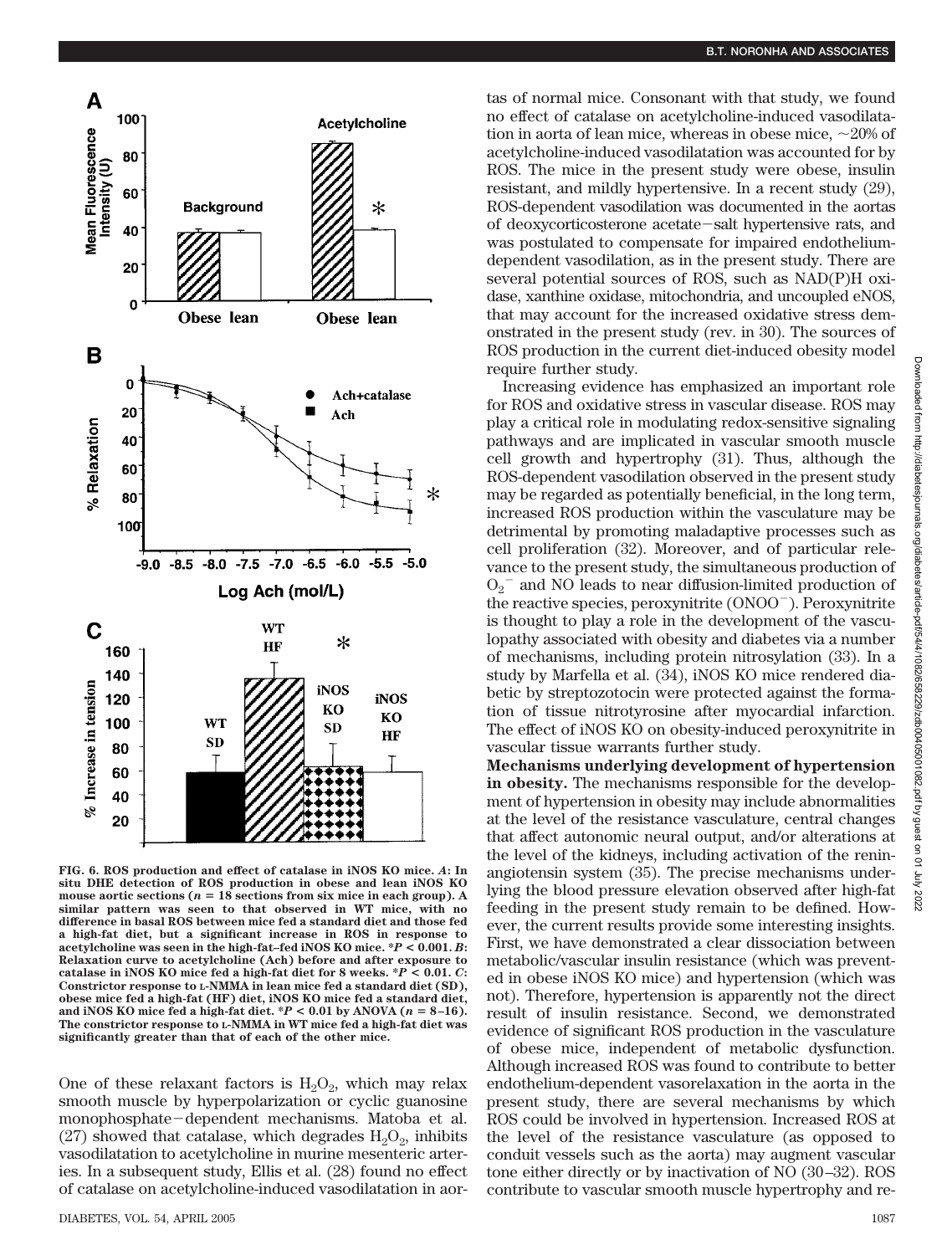

**FIG. 6. ROS production and effect of catalase in iNOS KO mice.** *A***: In situ DHE detection of ROS production in obese and lean iNOS KO** mouse aortic sections  $(n = 18$  sections from six mice in each group). A **similar pattern was seen to that observed in WT mice, with no difference in basal ROS between mice fed a standard diet and those fed a high-fat diet, but a significant increase in ROS in response to acetylcholine was seen in the high-fat–fed iNOS KO mice. \****P* **< 0.001.** *B***: Relaxation curve to acetylcholine (Ach) before and after exposure to catalase in iNOS KO mice fed a high-fat diet for 8 weeks. \****P* **< 0.01.** *C***: Constrictor response to L-NMMA in lean mice fed a standard diet (SD), obese mice fed a high-fat (HF) diet, iNOS KO mice fed a standard diet,** and iNOS KO mice fed a high-fat diet.  $*P < 0.01$  by ANOVA ( $n = 8-16$ ). **The constrictor response to L-NMMA in WT mice fed a high-fat diet was significantly greater than that of each of the other mice.**

One of these relaxant factors is  $H_2O_2$ , which may relax smooth muscle by hyperpolarization or cyclic guanosine monophosphate-dependent mechanisms. Matoba et al. (27) showed that catalase, which degrades  $H_2O_2$ , inhibits vasodilatation to acetylcholine in murine mesenteric arteries. In a subsequent study, Ellis et al. (28) found no effect of catalase on acetylcholine-induced vasodilatation in aortas of normal mice. Consonant with that study, we found no effect of catalase on acetylcholine-induced vasodilatation in aorta of lean mice, whereas in obese mice, 20% of acetylcholine-induced vasodilatation was accounted for by ROS. The mice in the present study were obese, insulin resistant, and mildly hypertensive. In a recent study (29), ROS-dependent vasodilation was documented in the aortas of deoxycorticosterone acetate-salt hypertensive rats, and was postulated to compensate for impaired endotheliumdependent vasodilation, as in the present study. There are several potential sources of ROS, such as NAD(P)H oxidase, xanthine oxidase, mitochondria, and uncoupled eNOS, that may account for the increased oxidative stress demonstrated in the present study (rev. in 30). The sources of ROS production in the current diet-induced obesity model require further study.

Increasing evidence has emphasized an important role for ROS and oxidative stress in vascular disease. ROS may play a critical role in modulating redox-sensitive signaling pathways and are implicated in vascular smooth muscle cell growth and hypertrophy (31). Thus, although the ROS-dependent vasodilation observed in the present study may be regarded as potentially beneficial, in the long term, increased ROS production within the vasculature may be detrimental by promoting maladaptive processes such as cell proliferation (32). Moreover, and of particular relevance to the present study, the simultaneous production of  $O_2$ <sup>-</sup> and NO leads to near diffusion-limited production of the reactive species, peroxynitrite  $(ONOO^-)$ . Peroxynitrite is thought to play a role in the development of the vasculopathy associated with obesity and diabetes via a number of mechanisms, including protein nitrosylation (33). In a study by Marfella et al. (34), iNOS KO mice rendered diabetic by streptozotocin were protected against the formation of tissue nitrotyrosine after myocardial infarction. The effect of iNOS KO on obesity-induced peroxynitrite in vascular tissue warrants further study.

**Mechanisms underlying development of hypertension in obesity.** The mechanisms responsible for the development of hypertension in obesity may include abnormalities at the level of the resistance vasculature, central changes that affect autonomic neural output, and/or alterations at the level of the kidneys, including activation of the reninangiotensin system (35). The precise mechanisms underlying the blood pressure elevation observed after high-fat feeding in the present study remain to be defined. However, the current results provide some interesting insights. First, we have demonstrated a clear dissociation between metabolic/vascular insulin resistance (which was prevented in obese iNOS KO mice) and hypertension (which was not). Therefore, hypertension is apparently not the direct result of insulin resistance. Second, we demonstrated evidence of significant ROS production in the vasculature of obese mice, independent of metabolic dysfunction. Although increased ROS was found to contribute to better endothelium-dependent vasorelaxation in the aorta in the present study, there are several mechanisms by which ROS could be involved in hypertension. Increased ROS at the level of the resistance vasculature (as opposed to conduit vessels such as the aorta) may augment vascular tone either directly or by inactivation of NO (30 –32). ROS contribute to vascular smooth muscle hypertrophy and re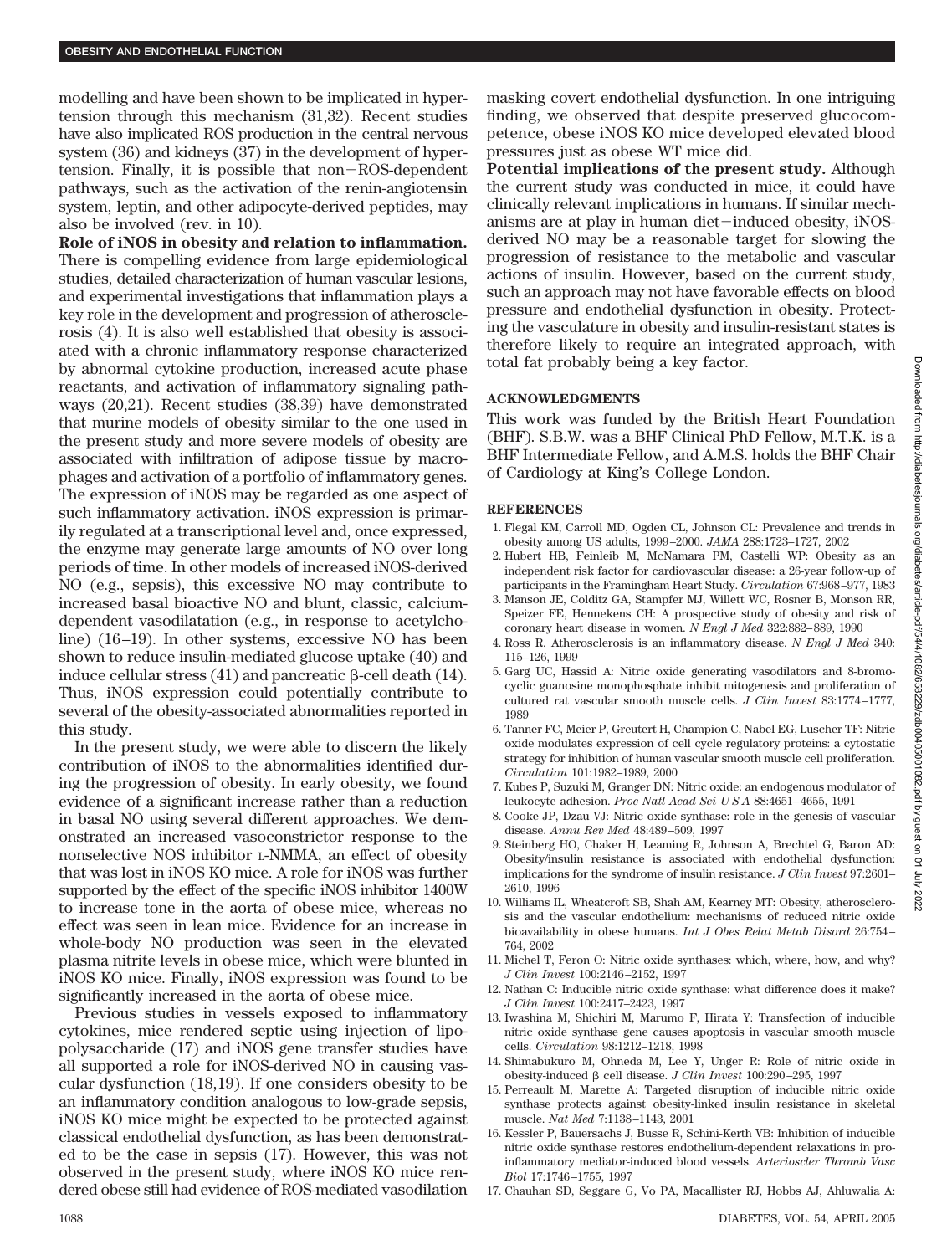modelling and have been shown to be implicated in hypertension through this mechanism (31,32). Recent studies have also implicated ROS production in the central nervous system (36) and kidneys (37) in the development of hypertension. Finally, it is possible that  $non-ROS-dependent$ pathways, such as the activation of the renin-angiotensin system, leptin, and other adipocyte-derived peptides, may also be involved (rev. in 10).

**Role of iNOS in obesity and relation to inflammation.** There is compelling evidence from large epidemiological studies, detailed characterization of human vascular lesions, and experimental investigations that inflammation plays a key role in the development and progression of atherosclerosis (4). It is also well established that obesity is associated with a chronic inflammatory response characterized by abnormal cytokine production, increased acute phase reactants, and activation of inflammatory signaling pathways (20,21). Recent studies (38,39) have demonstrated that murine models of obesity similar to the one used in the present study and more severe models of obesity are associated with infiltration of adipose tissue by macrophages and activation of a portfolio of inflammatory genes. The expression of iNOS may be regarded as one aspect of such inflammatory activation. iNOS expression is primarily regulated at a transcriptional level and, once expressed, the enzyme may generate large amounts of NO over long periods of time. In other models of increased iNOS-derived NO (e.g., sepsis), this excessive NO may contribute to increased basal bioactive NO and blunt, classic, calciumdependent vasodilatation (e.g., in response to acetylcholine) (16 –19). In other systems, excessive NO has been shown to reduce insulin-mediated glucose uptake (40) and induce cellular stress  $(41)$  and pancreatic  $\beta$ -cell death  $(14)$ . Thus, iNOS expression could potentially contribute to several of the obesity-associated abnormalities reported in this study.

In the present study, we were able to discern the likely contribution of iNOS to the abnormalities identified during the progression of obesity. In early obesity, we found evidence of a significant increase rather than a reduction in basal NO using several different approaches. We demonstrated an increased vasoconstrictor response to the nonselective NOS inhibitor L-NMMA, an effect of obesity that was lost in iNOS KO mice. A role for iNOS was further supported by the effect of the specific iNOS inhibitor 1400W to increase tone in the aorta of obese mice, whereas no effect was seen in lean mice. Evidence for an increase in whole-body NO production was seen in the elevated plasma nitrite levels in obese mice, which were blunted in iNOS KO mice. Finally, iNOS expression was found to be significantly increased in the aorta of obese mice.

Previous studies in vessels exposed to inflammatory cytokines, mice rendered septic using injection of lipopolysaccharide (17) and iNOS gene transfer studies have all supported a role for iNOS-derived NO in causing vascular dysfunction (18,19). If one considers obesity to be an inflammatory condition analogous to low-grade sepsis, iNOS KO mice might be expected to be protected against classical endothelial dysfunction, as has been demonstrated to be the case in sepsis (17). However, this was not observed in the present study, where iNOS KO mice rendered obese still had evidence of ROS-mediated vasodilation

masking covert endothelial dysfunction. In one intriguing finding, we observed that despite preserved glucocompetence, obese iNOS KO mice developed elevated blood pressures just as obese WT mice did.

**Potential implications of the present study.** Although the current study was conducted in mice, it could have clinically relevant implications in humans. If similar mechanisms are at play in human diet $-i$ nduced obesity, iNOSderived NO may be a reasonable target for slowing the progression of resistance to the metabolic and vascular actions of insulin. However, based on the current study, such an approach may not have favorable effects on blood pressure and endothelial dysfunction in obesity. Protecting the vasculature in obesity and insulin-resistant states is therefore likely to require an integrated approach, with total fat probably being a key factor.

## **ACKNOWLEDGMENTS**

This work was funded by the British Heart Foundation (BHF). S.B.W. was a BHF Clinical PhD Fellow, M.T.K. is a BHF Intermediate Fellow, and A.M.S. holds the BHF Chair of Cardiology at King's College London.

### **REFERENCES**

- 1. Flegal KM, Carroll MD, Ogden CL, Johnson CL: Prevalence and trends in obesity among US adults, 1999 –2000. *JAMA* 288:1723–1727, 2002
- 2. Hubert HB, Feinleib M, McNamara PM, Castelli WP: Obesity as an independent risk factor for cardiovascular disease: a 26-year follow-up of participants in the Framingham Heart Study. *Circulation* 67:968 –977, 1983
- 3. Manson JE, Colditz GA, Stampfer MJ, Willett WC, Rosner B, Monson RR, Speizer FE, Hennekens CH: A prospective study of obesity and risk of coronary heart disease in women. *N Engl J Med* 322:882– 889, 1990
- 4. Ross R. Atherosclerosis is an inflammatory disease. *N Engl J Med* 340: 115–126, 1999
- 5. Garg UC, Hassid A: Nitric oxide generating vasodilators and 8-bromocyclic guanosine monophosphate inhibit mitogenesis and proliferation of cultured rat vascular smooth muscle cells. *J Clin Invest* 83:1774 –1777, 1989
- 6. Tanner FC, Meier P, Greutert H, Champion C, Nabel EG, Luscher TF: Nitric oxide modulates expression of cell cycle regulatory proteins: a cytostatic strategy for inhibition of human vascular smooth muscle cell proliferation. *Circulation* 101:1982–1989, 2000
- 7. Kubes P, Suzuki M, Granger DN: Nitric oxide: an endogenous modulator of leukocyte adhesion. *Proc Natl Acad Sci U S A* 88:4651– 4655, 1991
- 8. Cooke JP, Dzau VJ: Nitric oxide synthase: role in the genesis of vascular disease. *Annu Rev Med* 48:489 –509, 1997
- 9. Steinberg HO, Chaker H, Leaming R, Johnson A, Brechtel G, Baron AD: Obesity/insulin resistance is associated with endothelial dysfunction: implications for the syndrome of insulin resistance. *J Clin Invest* 97:2601– 2610, 1996
- 10. Williams IL, Wheatcroft SB, Shah AM, Kearney MT: Obesity, atherosclerosis and the vascular endothelium: mechanisms of reduced nitric oxide bioavailability in obese humans. *Int J Obes Relat Metab Disord* 26:754 – 764, 2002
- 11. Michel T, Feron O: Nitric oxide synthases: which, where, how, and why? *J Clin Invest* 100:2146 –2152, 1997
- 12. Nathan C: Inducible nitric oxide synthase: what difference does it make? *J Clin Invest* 100:2417–2423, 1997
- 13. Iwashina M, Shichiri M, Marumo F, Hirata Y: Transfection of inducible nitric oxide synthase gene causes apoptosis in vascular smooth muscle cells. *Circulation* 98:1212–1218, 1998
- 14. Shimabukuro M, Ohneda M, Lee Y, Unger R: Role of nitric oxide in obesity-induced β cell disease. *J Clin Invest* 100:290-295, 1997
- 15. Perreault M, Marette A: Targeted disruption of inducible nitric oxide synthase protects against obesity-linked insulin resistance in skeletal muscle. *Nat Med* 7:1138 –1143, 2001
- 16. Kessler P, Bauersachs J, Busse R, Schini-Kerth VB: Inhibition of inducible nitric oxide synthase restores endothelium-dependent relaxations in proinflammatory mediator-induced blood vessels. *Arterioscler Thromb Vasc Biol* 17:1746 –1755, 1997
- 17. Chauhan SD, Seggare G, Vo PA, Macallister RJ, Hobbs AJ, Ahluwalia A: